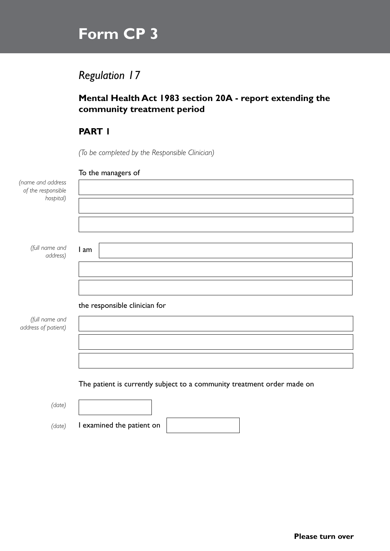# **Form CP 3**

# *Regulation 17*

## **Mental Health Act 1983 section 20A - report extending the community treatment period**

# **PART 1**

*(To be completed by the Responsible Clinician)*

#### To the managers of

| (name and address<br>of the responsible |                                                                         |
|-----------------------------------------|-------------------------------------------------------------------------|
| hospital)                               |                                                                         |
|                                         |                                                                         |
| (full name and<br>address)              | I am                                                                    |
|                                         |                                                                         |
|                                         |                                                                         |
|                                         | the responsible clinician for                                           |
| (full name and<br>address of patient)   |                                                                         |
|                                         |                                                                         |
|                                         |                                                                         |
|                                         | The patient is currently subject to a community treatment order made on |
|                                         |                                                                         |
| (date)                                  |                                                                         |

*(date)*

*(date)* I examined the patient on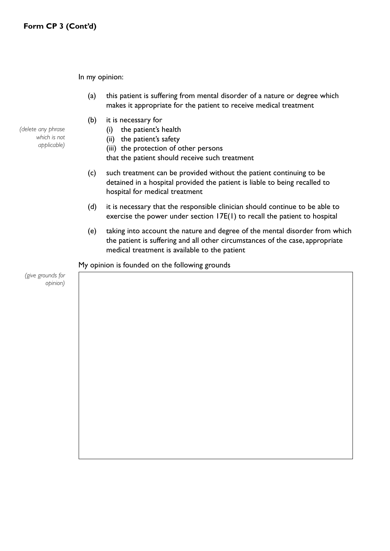In my opinion:

- (a) this patient is suffering from mental disorder of a nature or degree which makes it appropriate for the patient to receive medical treatment
- (b) it is necessary for
	- (i) the patient's health
	- (ii) the patient's safety
	- (iii) the protection of other persons
	- that the patient should receive such treatment
- (c) such treatment can be provided without the patient continuing to be detained in a hospital provided the patient is liable to being recalled to hospital for medical treatment
- (d) it is necessary that the responsible clinician should continue to be able to exercise the power under section 17E(1) to recall the patient to hospital
- (e) taking into account the nature and degree of the mental disorder from which the patient is suffering and all other circumstances of the case, appropriate medical treatment is available to the patient

My opinion is founded on the following grounds

*opinion)*

*(give grounds for* 

*(delete any phrase which is not applicable)*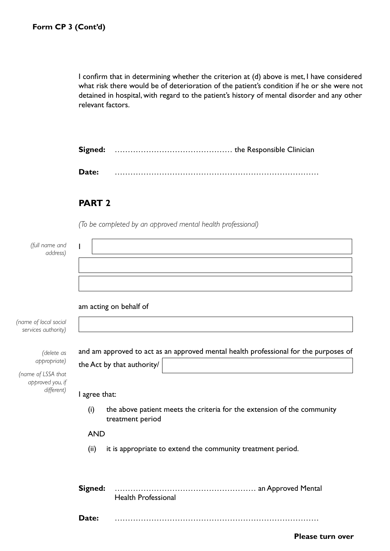I confirm that in determining whether the criterion at (d) above is met, I have considered what risk there would be of deterioration of the patient's condition if he or she were not detained in hospital, with regard to the patient's history of mental disorder and any other relevant factors.

**Signed:** ……………………………………… the Responsible Clinician

**Date:** ……………………………………………………………………

#### **PART 2**

*(To be completed by an approved mental health professional)*

| (full name and<br>address)                                                                                                         |                                                                                                                     |
|------------------------------------------------------------------------------------------------------------------------------------|---------------------------------------------------------------------------------------------------------------------|
| (name of local social<br>services authority)<br>(delete as<br>appropriate)<br>(name of LSSA that<br>approved you, if<br>different) | am acting on behalf of                                                                                              |
|                                                                                                                                    | and am approved to act as an approved mental health professional for the purposes of<br>the Act by that authority/  |
|                                                                                                                                    | I agree that:<br>(i)<br>the above patient meets the criteria for the extension of the community<br>treatment period |
|                                                                                                                                    | <b>AND</b><br>(ii)<br>it is appropriate to extend the community treatment period.                                   |
|                                                                                                                                    | Signed:<br><b>Health Professional</b>                                                                               |
|                                                                                                                                    | Date:<br><b>Please turn over</b>                                                                                    |